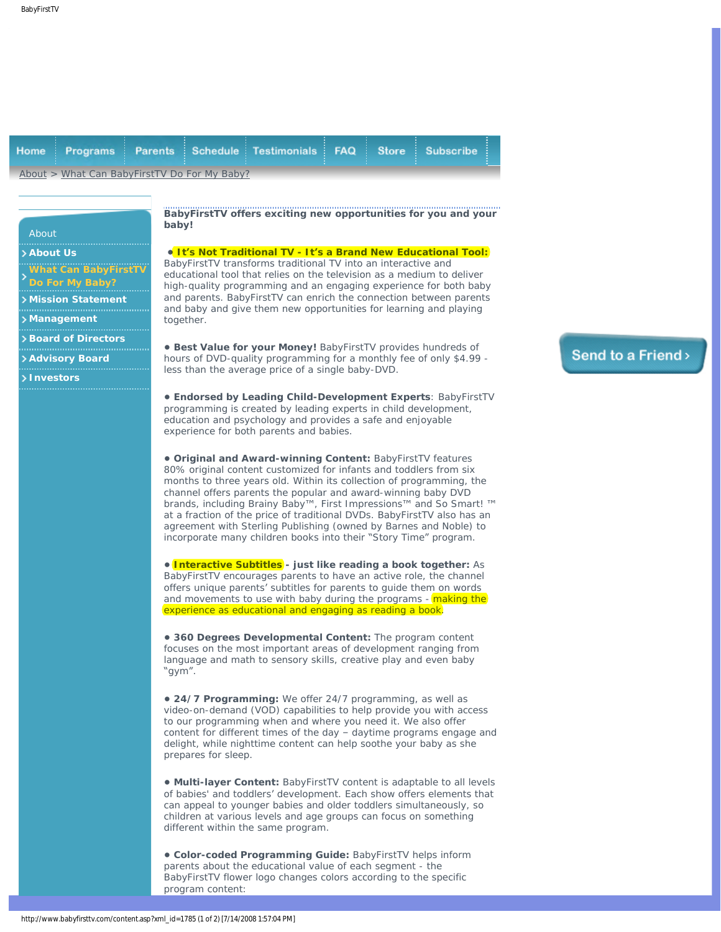<span id="page-0-0"></span>

|                                              |  |  |  | Home Programs Parents Schedule Testimonials FAQ Store Subscribe |  |  |  |  |
|----------------------------------------------|--|--|--|-----------------------------------------------------------------|--|--|--|--|
| About > What Can BabyFirstTV Do For My Baby? |  |  |  |                                                                 |  |  |  |  |

## About

## **[About Us](http://www.babyfirsttv.com/content.asp?xml_id=1612)**

**[What Can BabyFirstTV](#page-0-0) [Do For My Baby?](#page-0-0)**

- **[Mission Statement](http://www.babyfirsttv.com/content.asp?xml_id=1574)**
- **[Management](http://www.babyfirsttv.com/content.asp?xml_id=1589)**
- **[Board of Directors](http://www.babyfirsttv.com/content.asp?xml_id=1718)**
- **[Advisory Board](http://www.babyfirsttv.com/content.asp?xml_id=1719)**
- **[Investors](http://www.babyfirsttv.com/content.asp?xml_id=1735)**

What can BabyFirstTV do for my baby? **BabyFirstTV offers exciting new opportunities for you and your baby!**

**• It's Not Traditional TV - It's a Brand New Educational Tool:** BabyFirstTV transforms traditional TV into an interactive and educational tool that relies on the television as a medium to deliver high-quality programming and an engaging experience for both baby and parents. BabyFirstTV can enrich the connection between parents and baby and give them new opportunities for learning and playing together.

**• Best Value for your Money!** BabyFirstTV provides hundreds of hours of DVD-quality programming for a monthly fee of only \$4.99 less than the average price of a single baby-DVD.

**• Endorsed by Leading Child-Development Experts**: BabyFirstTV programming is created by leading experts in child development, education and psychology and provides a safe and enjoyable experience for both parents and babies.

**• Original and Award-winning Content:** BabyFirstTV features 80% original content customized for infants and toddlers from six months to three years old. Within its collection of programming, the channel offers parents the popular and award-winning baby DVD brands, including Brainy Baby™, First Impressions™ and So Smart! ™ at a fraction of the price of traditional DVDs. BabyFirstTV also has an agreement with Sterling Publishing (owned by Barnes and Noble) to incorporate many children books into their "Story Time" program.

**• Interactive Subtitles - just like reading a book together:** As BabyFirstTV encourages parents to have an active role, the channel offers unique parents' subtitles for parents to guide them on words and movements to use with baby during the programs - making the experience as educational and engaging as reading a book.

**• 360 Degrees Developmental Content:** The program content focuses on the most important areas of development ranging from language and math to sensory skills, creative play and even baby "gym".

**• 24/7 Programming:** We offer 24/7 programming, as well as video-on-demand (VOD) capabilities to help provide you with access to our programming when and where you need it. We also offer content for different times of the day – daytime programs engage and delight, while nighttime content can help soothe your baby as she prepares for sleep.

**• Multi-layer Content:** BabyFirstTV content is adaptable to all levels of babies' and toddlers' development. Each show offers elements that can appeal to younger babies and older toddlers simultaneously, so children at various levels and age groups can focus on something different within the same program.

**• Color-coded Programming Guide:** BabyFirstTV helps inform parents about the educational value of each segment - the BabyFirstTV flower logo changes colors according to the specific program content:

## Send to a Friend >